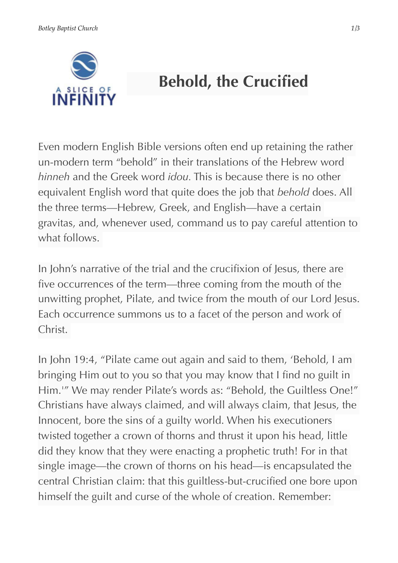

## **Behold, the Crucified**

Even modern English Bible versions often end up retaining the rather un-modern term "behold" in their translations of the Hebrew word *hinneh* and the Greek word *idou.* This is because there is no other equivalent English word that quite does the job that *behold* does. All the three terms—Hebrew, Greek, and English—have a certain gravitas, and, whenever used, command us to pay careful attention to what follows.

In John's narrative of the trial and the crucifixion of Jesus, there are five occurrences of the term—three coming from the mouth of the unwitting prophet, Pilate, and twice from the mouth of our Lord Jesus. Each occurrence summons us to a facet of the person and work of Christ.

In John 19:4, "Pilate came out again and said to them, 'Behold, I am bringing Him out to you so that you may know that I find no guilt in Him.'" We may render Pilate's words as: "Behold, the Guiltless One!" Christians have always claimed, and will always claim, that Jesus, the Innocent, bore the sins of a guilty world. When his executioners twisted together a crown of thorns and thrust it upon his head, little did they know that they were enacting a prophetic truth! For in that single image—the crown of thorns on his head—is encapsulated the central Christian claim: that this guiltless-but-crucified one bore upon himself the guilt and curse of the whole of creation. Remember: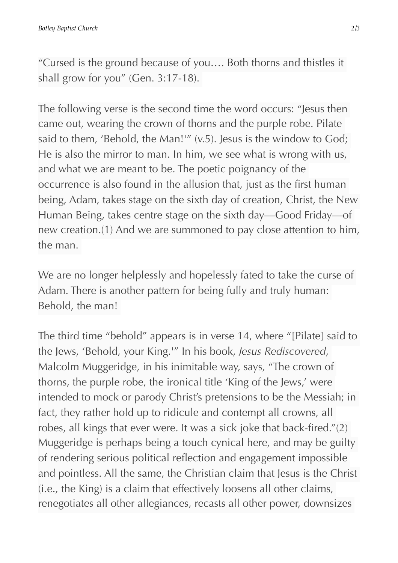"Cursed is the ground because of you…. Both thorns and thistles it shall grow for you" (Gen. 3:17-18).

The following verse is the second time the word occurs: "Jesus then came out, wearing the crown of thorns and the purple robe. Pilate said to them, 'Behold, the Man!'" (v.5). Jesus is the window to God; He is also the mirror to man. In him, we see what is wrong with us, and what we are meant to be. The poetic poignancy of the occurrence is also found in the allusion that, just as the first human being, Adam, takes stage on the sixth day of creation, Christ, the New Human Being, takes centre stage on the sixth day—Good Friday—of new creation.(1) And we are summoned to pay close attention to him, the man.

We are no longer helplessly and hopelessly fated to take the curse of Adam. There is another pattern for being fully and truly human: Behold, the man!

The third time "behold" appears is in verse 14, where "[Pilate] said to the Jews, 'Behold, your King.'" In his book, *Jesus Rediscovered*, Malcolm Muggeridge, in his inimitable way, says, "The crown of thorns, the purple robe, the ironical title 'King of the Jews,' were intended to mock or parody Christ's pretensions to be the Messiah; in fact, they rather hold up to ridicule and contempt all crowns, all robes, all kings that ever were. It was a sick joke that back-fired."(2) Muggeridge is perhaps being a touch cynical here, and may be guilty of rendering serious political reflection and engagement impossible and pointless. All the same, the Christian claim that Jesus is the Christ (i.e., the King) is a claim that effectively loosens all other claims, renegotiates all other allegiances, recasts all other power, downsizes